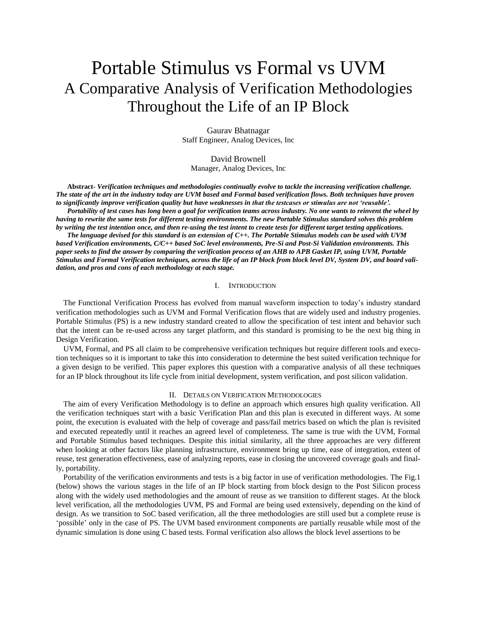# Portable Stimulus vs Formal vs UVM A Comparative Analysis of Verification Methodologies Throughout the Life of an IP Block

Gaurav Bhatnagar Staff Engineer, Analog Devices, Inc

David Brownell Manager, Analog Devices, Inc

**Abstract-** *Verification techniques and methodologies continually evolve to tackle the increasing verification challenge. The state of the art in the industry today are UVM based and Formal based verification flows. Both techniques have proven to significantly improve verification quality but have weaknesses in that the testcases or stimulus are not 'reusable'.*

*Portability of test cases has long been a goal for verification teams across industry. No one wants to reinvent the wheel by having to rewrite the same tests for different testing environments. The new Portable Stimulus standard solves this problem by writing the test intention once, and then re-using the test intent to create tests for different target testing applications.* 

*The language devised for this standard is an extension of C++. The Portable Stimulus models can be used with UVM based Verification environments, C/C++ based SoC level environments, Pre-Si and Post-Si Validation environments. This paper seeks to find the answer by comparing the verification process of an AHB to APB Gasket IP, using UVM, Portable Stimulus and Formal Verification techniques, across the life of an IP block from block level DV, System DV, and board validation, and pros and cons of each methodology at each stage.*

## I. INTRODUCTION

The Functional Verification Process has evolved from manual waveform inspection to today's industry standard verification methodologies such as UVM and Formal Verification flows that are widely used and industry progenies. Portable Stimulus (PS) is a new industry standard created to allow the specification of test intent and behavior such that the intent can be re-used across any target platform, and this standard is promising to be the next big thing in Design Verification.

UVM, Formal, and PS all claim to be comprehensive verification techniques but require different tools and execution techniques so it is important to take this into consideration to determine the best suited verification technique for a given design to be verified. This paper explores this question with a comparative analysis of all these techniques for an IP block throughout its life cycle from initial development, system verification, and post silicon validation.

# II. DETAILS ON VERIFICATION METHODOLOGIES

The aim of every Verification Methodology is to define an approach which ensures high quality verification. All the verification techniques start with a basic Verification Plan and this plan is executed in different ways. At some point, the execution is evaluated with the help of coverage and pass/fail metrics based on which the plan is revisited and executed repeatedly until it reaches an agreed level of completeness. The same is true with the UVM, Formal and Portable Stimulus based techniques. Despite this initial similarity, all the three approaches are very different when looking at other factors like planning infrastructure, environment bring up time, ease of integration, extent of reuse, test generation effectiveness, ease of analyzing reports, ease in closing the uncovered coverage goals and finally, portability.

Portability of the verification environments and tests is a big factor in use of verification methodologies. The Fig.1 (below) shows the various stages in the life of an IP block starting from block design to the Post Silicon process along with the widely used methodologies and the amount of reuse as we transition to different stages. At the block level verification, all the methodologies UVM, PS and Formal are being used extensively, depending on the kind of design. As we transition to SoC based verification, all the three methodologies are still used but a complete reuse is 'possible' only in the case of PS. The UVM based environment components are partially reusable while most of the dynamic simulation is done using C based tests. Formal verification also allows the block level assertions to be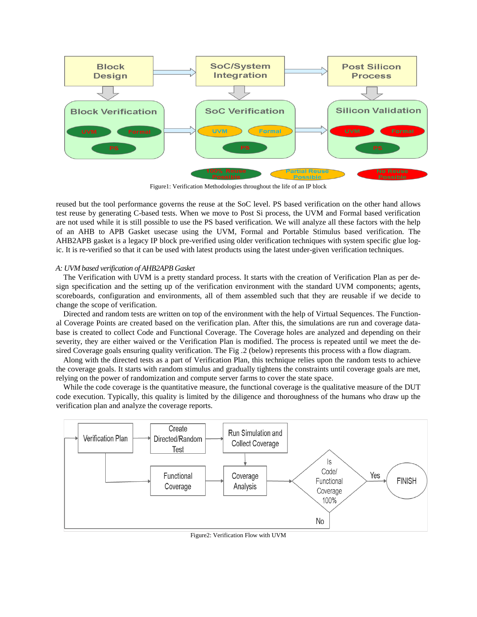

Figure1: Verification Methodologies throughout the life of an IP block

reused but the tool performance governs the reuse at the SoC level. PS based verification on the other hand allows test reuse by generating C-based tests. When we move to Post Si process, the UVM and Formal based verification are not used while it is still possible to use the PS based verification. We will analyze all these factors with the help of an AHB to APB Gasket usecase using the UVM, Formal and Portable Stimulus based verification. The AHB2APB gasket is a legacy IP block pre-verified using older verification techniques with system specific glue logic. It is re-verified so that it can be used with latest products using the latest under-given verification techniques.

# *A: UVM based verification of AHB2APB Gasket*

The Verification with UVM is a pretty standard process. It starts with the creation of Verification Plan as per design specification and the setting up of the verification environment with the standard UVM components; agents, scoreboards, configuration and environments, all of them assembled such that they are reusable if we decide to change the scope of verification.

Directed and random tests are written on top of the environment with the help of Virtual Sequences. The Functional Coverage Points are created based on the verification plan. After this, the simulations are run and coverage database is created to collect Code and Functional Coverage. The Coverage holes are analyzed and depending on their severity, they are either waived or the Verification Plan is modified. The process is repeated until we meet the desired Coverage goals ensuring quality verification. The Fig .2 (below) represents this process with a flow diagram.

Along with the directed tests as a part of Verification Plan, this technique relies upon the random tests to achieve the coverage goals. It starts with random stimulus and gradually tightens the constraints until coverage goals are met, relying on the power of randomization and compute server farms to cover the state space.

While the code coverage is the quantitative measure, the functional coverage is the qualitative measure of the DUT code execution. Typically, this quality is limited by the diligence and thoroughness of the humans who draw up the verification plan and analyze the coverage reports.



Figure2: Verification Flow with UVM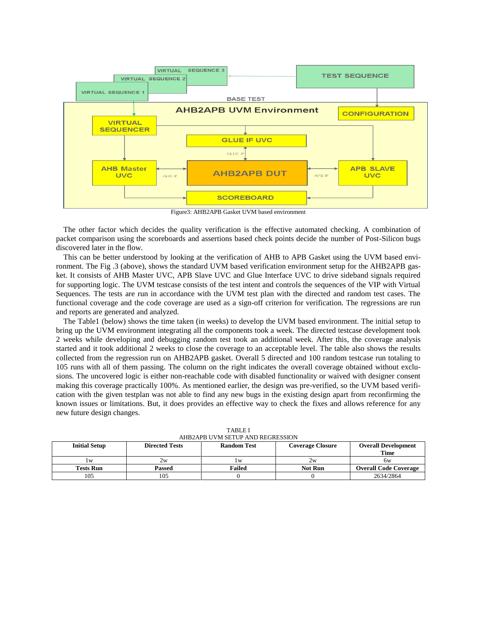

Figure3: AHB2APB Gasket UVM based environment

The other factor which decides the quality verification is the effective automated checking. A combination of packet comparison using the scoreboards and assertions based check points decide the number of Post-Silicon bugs discovered later in the flow.

This can be better understood by looking at the verification of AHB to APB Gasket using the UVM based environment. The Fig .3 (above), shows the standard UVM based verification environment setup for the AHB2APB gasket. It consists of AHB Master UVC, APB Slave UVC and Glue Interface UVC to drive sideband signals required for supporting logic. The UVM testcase consists of the test intent and controls the sequences of the VIP with Virtual Sequences. The tests are run in accordance with the UVM test plan with the directed and random test cases. The functional coverage and the code coverage are used as a sign-off criterion for verification. The regressions are run and reports are generated and analyzed.

The Table1 (below) shows the time taken (in weeks) to develop the UVM based environment. The initial setup to bring up the UVM environment integrating all the components took a week. The directed testcase development took 2 weeks while developing and debugging random test took an additional week. After this, the coverage analysis started and it took additional 2 weeks to close the coverage to an acceptable level. The table also shows the results collected from the regression run on AHB2APB gasket. Overall 5 directed and 100 random testcase run totaling to 105 runs with all of them passing. The column on the right indicates the overall coverage obtained without exclusions. The uncovered logic is either non-reachable code with disabled functionality or waived with designer consent making this coverage practically 100%. As mentioned earlier, the design was pre-verified, so the UVM based verification with the given testplan was not able to find any new bugs in the existing design apart from reconfirming the known issues or limitations. But, it does provides an effective way to check the fixes and allows reference for any new future design changes.

| <b>Initial Setup</b> | <b>Directed Tests</b> | <b>Random Test</b> | <b>Coverage Closure</b> | <b>Overall Development</b><br><b>Time</b> |
|----------------------|-----------------------|--------------------|-------------------------|-------------------------------------------|
| l w                  | 2w                    | l w                | 2w                      | 6w                                        |
| <b>Tests Run</b>     | Passed                | Failed             | <b>Not Run</b>          | <b>Overall Code Coverage</b>              |
| 105                  | 105                   |                    |                         | 2634/2864                                 |

TABLE I AHB2APB UVM SETUP AND REGRESSION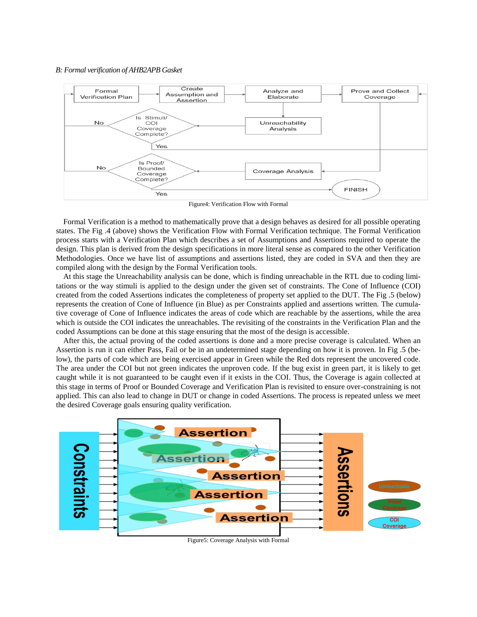## *B: Formal verification of AHB2APB Gasket*



Figure4: Verification Flow with Formal

Formal Verification is a method to mathematically prove that a design behaves as desired for all possible operating states. The Fig .4 (above) shows the Verification Flow with Formal Verification technique. The Formal Verification process starts with a Verification Plan which describes a set of Assumptions and Assertions required to operate the design. This plan is derived from the design specifications in more literal sense as compared to the other Verification Methodologies. Once we have list of assumptions and assertions listed, they are coded in SVA and then they are compiled along with the design by the Formal Verification tools.

At this stage the Unreachability analysis can be done, which is finding unreachable in the RTL due to coding limitations or the way stimuli is applied to the design under the given set of constraints. The Cone of Influence (COI) created from the coded Assertions indicates the completeness of property set applied to the DUT. The Fig .5 (below) represents the creation of Cone of Influence (in Blue) as per Constraints applied and assertions written. The cumulative coverage of Cone of Influence indicates the areas of code which are reachable by the assertions, while the area which is outside the COI indicates the unreachables. The revisiting of the constraints in the Verification Plan and the coded Assumptions can be done at this stage ensuring that the most of the design is accessible.

After this, the actual proving of the coded assertions is done and a more precise coverage is calculated. When an Assertion is run it can either Pass, Fail or be in an undetermined stage depending on how it is proven. In Fig .5 (below), the parts of code which are being exercised appear in Green while the Red dots represent the uncovered code. The area under the COI but not green indicates the unproven code. If the bug exist in green part, it is likely to get caught while it is not guaranteed to be caught even if it exists in the COI. Thus, the Coverage is again collected at this stage in terms of Proof or Bounded Coverage and Verification Plan is revisited to ensure over-constraining is not applied. This can also lead to change in DUT or change in coded Assertions. The process is repeated unless we meet the desired Coverage goals ensuring quality verification.



Figure5: Coverage Analysis with Formal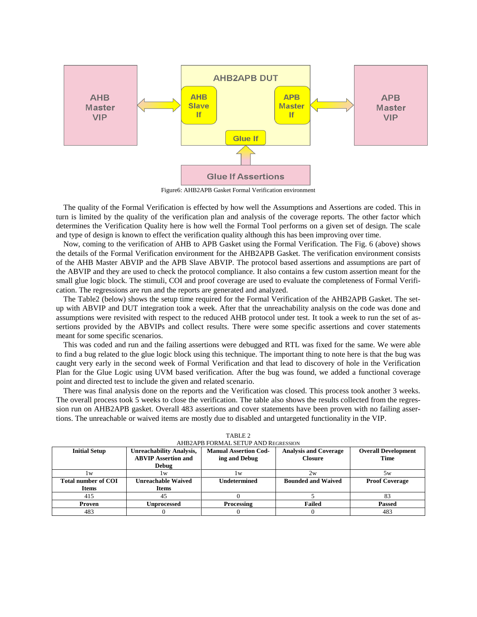

Figure6: AHB2APB Gasket Formal Verification environment

The quality of the Formal Verification is effected by how well the Assumptions and Assertions are coded. This in turn is limited by the quality of the verification plan and analysis of the coverage reports. The other factor which determines the Verification Quality here is how well the Formal Tool performs on a given set of design. The scale and type of design is known to effect the verification quality although this has been improving over time.

Now, coming to the verification of AHB to APB Gasket using the Formal Verification. The Fig. 6 (above) shows the details of the Formal Verification environment for the AHB2APB Gasket. The verification environment consists of the AHB Master ABVIP and the APB Slave ABVIP. The protocol based assertions and assumptions are part of the ABVIP and they are used to check the protocol compliance. It also contains a few custom assertion meant for the small glue logic block. The stimuli, COI and proof coverage are used to evaluate the completeness of Formal Verification. The regressions are run and the reports are generated and analyzed.

The Table2 (below) shows the setup time required for the Formal Verification of the AHB2APB Gasket. The setup with ABVIP and DUT integration took a week. After that the unreachability analysis on the code was done and assumptions were revisited with respect to the reduced AHB protocol under test. It took a week to run the set of assertions provided by the ABVIPs and collect results. There were some specific assertions and cover statements meant for some specific scenarios.

This was coded and run and the failing assertions were debugged and RTL was fixed for the same. We were able to find a bug related to the glue logic block using this technique. The important thing to note here is that the bug was caught very early in the second week of Formal Verification and that lead to discovery of hole in the Verification Plan for the Glue Logic using UVM based verification. After the bug was found, we added a functional coverage point and directed test to include the given and related scenario.

There was final analysis done on the reports and the Verification was closed. This process took another 3 weeks. The overall process took 5 weeks to close the verification. The table also shows the results collected from the regression run on AHB2APB gasket. Overall 483 assertions and cover statements have been proven with no failing assertions. The unreachable or waived items are mostly due to disabled and untargeted functionality in the VIP.

| AHB2APB FORMAL SETUP AND REGRESSION |                                 |                              |                              |                            |
|-------------------------------------|---------------------------------|------------------------------|------------------------------|----------------------------|
| <b>Initial Setup</b>                | <b>Unreachability Analysis,</b> | <b>Manual Assertion Cod-</b> | <b>Analysis and Coverage</b> | <b>Overall Development</b> |
|                                     | <b>ABVIP Assertion and</b>      | ing and Debug                | <b>Closure</b>               | <b>Time</b>                |
|                                     | Debug                           |                              |                              |                            |
| W                                   | l w                             | W                            | 2w                           | 5w                         |
| <b>Total number of COI</b>          | <b>Unreachable Waived</b>       | <b>Undetermined</b>          | <b>Bounded and Waived</b>    | <b>Proof Coverage</b>      |
| <b>Items</b>                        |                                 |                              |                              |                            |
|                                     | <b>Items</b>                    |                              |                              |                            |
| 415                                 | 45                              |                              |                              |                            |
| Proven                              | <b>Unprocessed</b>              | Processing                   | <b>Failed</b>                | <b>Passed</b>              |

TABLE 2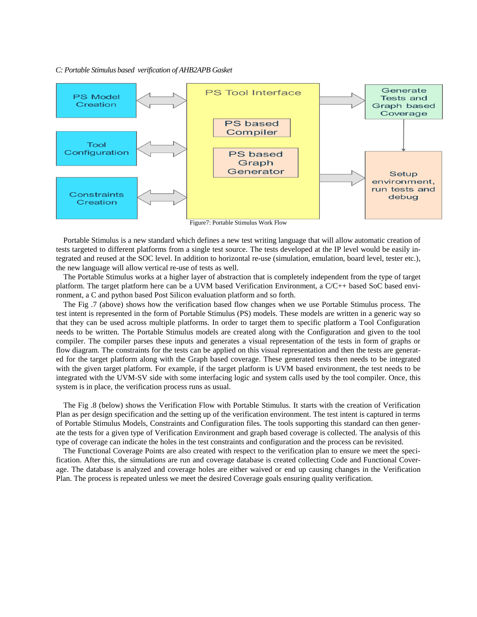## *C: Portable Stimulus based verification of AHB2APB Gasket*



Portable Stimulus is a new standard which defines a new test writing language that will allow automatic creation of tests targeted to different platforms from a single test source. The tests developed at the IP level would be easily integrated and reused at the SOC level. In addition to horizontal re-use (simulation, emulation, board level, tester etc.), the new language will allow vertical re-use of tests as well.

The Portable Stimulus works at a higher layer of abstraction that is completely independent from the type of target platform. The target platform here can be a UVM based Verification Environment, a C/C++ based SoC based environment, a C and python based Post Silicon evaluation platform and so forth.

The Fig .7 (above) shows how the verification based flow changes when we use Portable Stimulus process. The test intent is represented in the form of Portable Stimulus (PS) models. These models are written in a generic way so that they can be used across multiple platforms. In order to target them to specific platform a Tool Configuration needs to be written. The Portable Stimulus models are created along with the Configuration and given to the tool compiler. The compiler parses these inputs and generates a visual representation of the tests in form of graphs or flow diagram. The constraints for the tests can be applied on this visual representation and then the tests are generated for the target platform along with the Graph based coverage. These generated tests then needs to be integrated with the given target platform. For example, if the target platform is UVM based environment, the test needs to be integrated with the UVM-SV side with some interfacing logic and system calls used by the tool compiler. Once, this system is in place, the verification process runs as usual.

The Fig .8 (below) shows the Verification Flow with Portable Stimulus. It starts with the creation of Verification Plan as per design specification and the setting up of the verification environment. The test intent is captured in terms of Portable Stimulus Models, Constraints and Configuration files. The tools supporting this standard can then generate the tests for a given type of Verification Environment and graph based coverage is collected. The analysis of this type of coverage can indicate the holes in the test constraints and configuration and the process can be revisited.

The Functional Coverage Points are also created with respect to the verification plan to ensure we meet the specification. After this, the simulations are run and coverage database is created collecting Code and Functional Coverage. The database is analyzed and coverage holes are either waived or end up causing changes in the Verification Plan. The process is repeated unless we meet the desired Coverage goals ensuring quality verification.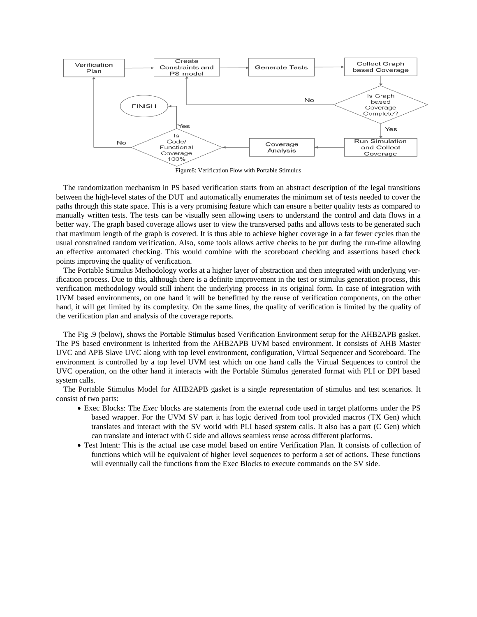

Figure8: Verification Flow with Portable Stimulus

The randomization mechanism in PS based verification starts from an abstract description of the legal transitions between the high-level states of the DUT and automatically enumerates the minimum set of tests needed to cover the paths through this state space. This is a very promising feature which can ensure a better quality tests as compared to manually written tests. The tests can be visually seen allowing users to understand the control and data flows in a better way. The graph based coverage allows user to view the transversed paths and allows tests to be generated such that maximum length of the graph is covered. It is thus able to achieve higher coverage in a far fewer cycles than the usual constrained random verification. Also, some tools allows active checks to be put during the run-time allowing an effective automated checking. This would combine with the scoreboard checking and assertions based check points improving the quality of verification.

The Portable Stimulus Methodology works at a higher layer of abstraction and then integrated with underlying verification process. Due to this, although there is a definite improvement in the test or stimulus generation process, this verification methodology would still inherit the underlying process in its original form. In case of integration with UVM based environments, on one hand it will be benefitted by the reuse of verification components, on the other hand, it will get limited by its complexity. On the same lines, the quality of verification is limited by the quality of the verification plan and analysis of the coverage reports.

The Fig .9 (below), shows the Portable Stimulus based Verification Environment setup for the AHB2APB gasket. The PS based environment is inherited from the AHB2APB UVM based environment. It consists of AHB Master UVC and APB Slave UVC along with top level environment, configuration, Virtual Sequencer and Scoreboard. The environment is controlled by a top level UVM test which on one hand calls the Virtual Sequences to control the UVC operation, on the other hand it interacts with the Portable Stimulus generated format with PLI or DPI based system calls.

The Portable Stimulus Model for AHB2APB gasket is a single representation of stimulus and test scenarios. It consist of two parts:

- Exec Blocks: The *Exec* blocks are statements from the external code used in target platforms under the PS based wrapper. For the UVM SV part it has logic derived from tool provided macros (TX Gen) which translates and interact with the SV world with PLI based system calls. It also has a part (C Gen) which can translate and interact with C side and allows seamless reuse across different platforms.
- Test Intent: This is the actual use case model based on entire Verification Plan. It consists of collection of functions which will be equivalent of higher level sequences to perform a set of actions. These functions will eventually call the functions from the Exec Blocks to execute commands on the SV side.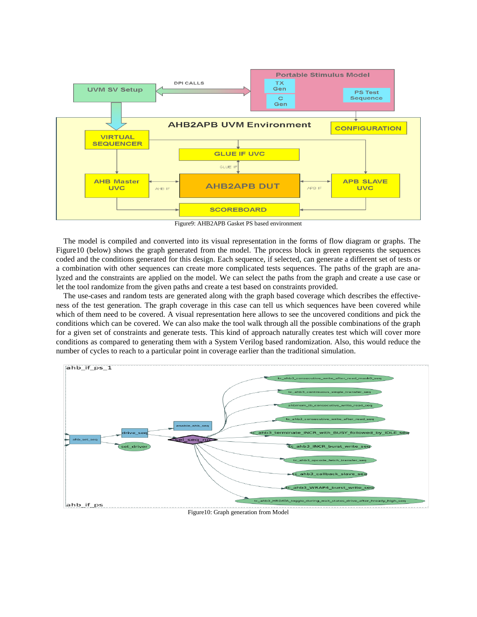

Figure9: AHB2APB Gasket PS based environment

The model is compiled and converted into its visual representation in the forms of flow diagram or graphs. The Figure10 (below) shows the graph generated from the model. The process block in green represents the sequences coded and the conditions generated for this design. Each sequence, if selected, can generate a different set of tests or a combination with other sequences can create more complicated tests sequences. The paths of the graph are analyzed and the constraints are applied on the model. We can select the paths from the graph and create a use case or let the tool randomize from the given paths and create a test based on constraints provided.

The use-cases and random tests are generated along with the graph based coverage which describes the effectiveness of the test generation. The graph coverage in this case can tell us which sequences have been covered while which of them need to be covered. A visual representation here allows to see the uncovered conditions and pick the conditions which can be covered. We can also make the tool walk through all the possible combinations of the graph for a given set of constraints and generate tests. This kind of approach naturally creates test which will cover more conditions as compared to generating them with a System Verilog based randomization. Also, this would reduce the number of cycles to reach to a particular point in coverage earlier than the traditional simulation.

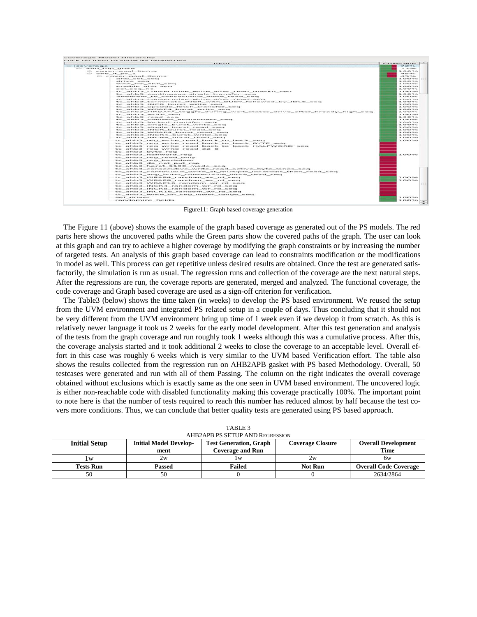|                   | <b>A Rivers armore</b>                                                                             | Coverage 1-                                   |
|-------------------|----------------------------------------------------------------------------------------------------|-----------------------------------------------|
| <b>COVERER</b>    |                                                                                                    | The states                                    |
| as anto top goals |                                                                                                    | $\mathcal{F} \mathrel{\supseteq} \mathcal{F}$ |
|                   | a cover goal items                                                                                 | <b>IOOTS</b>                                  |
|                   | to anb if pa 1                                                                                     | $-2 - 2 - 2 - 2 - 2$                          |
|                   | ill cover_goal_items                                                                               | $-3 - 5 - 5 - 6$                              |
|                   | ative set sees                                                                                     | <b>IOOTS</b>                                  |
|                   | che's way mancy                                                                                    | 10096                                         |
|                   | wait for ahb sec.                                                                                  | 3.00222                                       |
|                   | garage of children, such clients created                                                           | 3.000                                         |
|                   | ment mency race.                                                                                   | 100%                                          |
|                   | tc_ahb3_consecutive_write_after_read_mask0_seq                                                     | 100225                                        |
|                   | tc_ahb3_continuous_single_transfer_seq                                                             | 100%                                          |
|                   | abbmem tb consecutive write read seq                                                               | 10036                                         |
|                   | te ahba consecutive write after read seq.<br>to ahb3 terminate INCR with BUSY followed by IDLE seq | <b>IOOTS</b><br>100%                          |
|                   | te ahba nucri burst write sec                                                                      | <b>ICORD</b>                                  |
|                   | te antes opeode fetch transfer sees                                                                | <b>IOOSS</b>                                  |
|                   | tc ahb3 WRAP4 burst write seq                                                                      | 100%                                          |
|                   | tc_ahb3_HRDATA_toggle_during_wait_states_drive_after_hready_high_seq                               | <b>IOOS</b>                                   |
|                   | to abba write sec                                                                                  | 10036                                         |
|                   | tc_ahb3_read_seq                                                                                   | <b>3.00%</b>                                  |
|                   | te articles convert erritories sent                                                                | <b>IOOTG</b>                                  |
|                   | ter autubers teachered travelenter needs                                                           | 3.00022                                       |
|                   | te ainlade single burnet write sees                                                                | <b>ICOM</b>                                   |
|                   | te ahbbi single burst read seeg                                                                    | 100%                                          |
|                   | tc ahb3 INCR burst read seq                                                                        | 100%                                          |
|                   | tc_ahb3_WRAP4_burst_read_seq                                                                       | 10036                                         |
|                   | te abba uncru burat write see                                                                      | <b>ICOM</b>                                   |
|                   | their andreticity. The country-de-threatened manual manual                                         | 100%                                          |
|                   | te ahb3 reg write read back to back seq                                                            | 3.00030-                                      |
|                   | tc ahb3 reg write read back to back BYTE seq                                                       |                                               |
|                   | tc_ahb3_reg_write_read_back_to_back_HALFWORD_seq                                                   |                                               |
|                   | tc ahb3 reg write read 32 8                                                                        |                                               |
|                   | tc ahb3 byte reg                                                                                   |                                               |
|                   |                                                                                                    |                                               |
|                   | te ahb3 halfword reg                                                                               | 1.00336                                       |
|                   | te abba reg read only                                                                              |                                               |
|                   | te abla a reg backdoor                                                                             |                                               |
|                   | te ahba do not put rsp                                                                             |                                               |
|                   | tc ahb3 hprot 1100 mode seq                                                                        |                                               |
|                   | tc ahb3 consecutive write read active byte lanes seg                                               |                                               |
|                   | tc ahb3 continuous write at multiple locations then read seq                                       |                                               |
|                   | tc_ahb3_any_burst_consecutive_write_read_seq                                                       |                                               |
|                   | tc ahb3 WRAP4 random wr rd seq                                                                     | <b>LOOPS</b>                                  |
|                   | tc ahb3 WRAPB random wr rd seq                                                                     | 100%                                          |
|                   | tc ahb3 WRAP16 random wr rd seq                                                                    |                                               |
|                   | tc_ahb3_INCR4_random_wr_rd_seq                                                                     |                                               |
|                   | tc_ahb3_INCR8_random_wr_rd_seq                                                                     |                                               |
|                   | te ahb3 INCR16 random wr rd seg                                                                    |                                               |
|                   |                                                                                                    |                                               |
|                   | tc ahb3 write on seg lower range seg                                                               |                                               |
|                   | set driver                                                                                         | 10096                                         |
|                   | randomize fields                                                                                   | 100%                                          |

Figure11: Graph based coverage generation

The Figure 11 (above) shows the example of the graph based coverage as generated out of the PS models. The red parts here shows the uncovered paths while the Green parts show the covered paths of the graph. The user can look at this graph and can try to achieve a higher coverage by modifying the graph constraints or by increasing the number of targeted tests. An analysis of this graph based coverage can lead to constraints modification or the modifications in model as well. This process can get repetitive unless desired results are obtained. Once the test are generated satisfactorily, the simulation is run as usual. The regression runs and collection of the coverage are the next natural steps. After the regressions are run, the coverage reports are generated, merged and analyzed. The functional coverage, the code coverage and Graph based coverage are used as a sign-off criterion for verification.

The Table3 (below) shows the time taken (in weeks) to develop the PS based environment. We reused the setup from the UVM environment and integrated PS related setup in a couple of days. Thus concluding that it should not be very different from the UVM environment bring up time of 1 week even if we develop it from scratch. As this is relatively newer language it took us 2 weeks for the early model development. After this test generation and analysis of the tests from the graph coverage and run roughly took 1 weeks although this was a cumulative process. After this, the coverage analysis started and it took additional 2 weeks to close the coverage to an acceptable level. Overall effort in this case was roughly 6 weeks which is very similar to the UVM based Verification effort. The table also shows the results collected from the regression run on AHB2APB gasket with PS based Methodology. Overall, 50 testcases were generated and run with all of them Passing. The column on the right indicates the overall coverage obtained without exclusions which is exactly same as the one seen in UVM based environment. The uncovered logic is either non-reachable code with disabled functionality making this coverage practically 100%. The important point to note here is that the number of tests required to reach this number has reduced almost by half because the test covers more conditions. Thus, we can conclude that better quality tests are generated using PS based approach.

| AHB2APB PS SETUP AND REGRESSION |                               |                                                          |         |                              |
|---------------------------------|-------------------------------|----------------------------------------------------------|---------|------------------------------|
| <b>Initial Setup</b>            | <b>Initial Model Develop-</b> | <b>Test Generation, Graph</b><br><b>Coverage Closure</b> |         | <b>Overall Development</b>   |
|                                 | ment                          | <b>Coverage and Run</b>                                  |         | Time                         |
| l w                             | 2w                            | l w                                                      | 2w      | 6w                           |
| <b>Tests Run</b>                | Passed                        | Failed                                                   | Not Run | <b>Overall Code Coverage</b> |
| 50                              | 50                            |                                                          |         | 2634/2864                    |

TABLE 3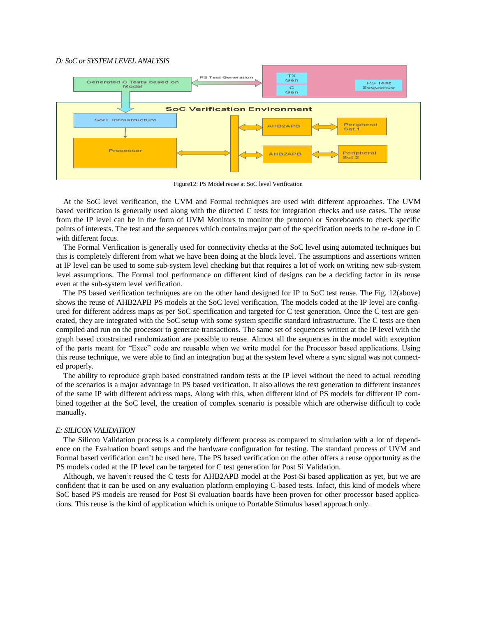# *D: SoC or SYSTEM LEVEL ANALYSIS*



Figure12: PS Model reuse at SoC level Verification

At the SoC level verification, the UVM and Formal techniques are used with different approaches. The UVM based verification is generally used along with the directed C tests for integration checks and use cases. The reuse from the IP level can be in the form of UVM Monitors to monitor the protocol or Scoreboards to check specific points of interests. The test and the sequences which contains major part of the specification needs to be re-done in C with different focus.

The Formal Verification is generally used for connectivity checks at the SoC level using automated techniques but this is completely different from what we have been doing at the block level. The assumptions and assertions written at IP level can be used to some sub-system level checking but that requires a lot of work on writing new sub-system level assumptions. The Formal tool performance on different kind of designs can be a deciding factor in its reuse even at the sub-system level verification.

The PS based verification techniques are on the other hand designed for IP to SoC test reuse. The Fig. 12(above) shows the reuse of AHB2APB PS models at the SoC level verification. The models coded at the IP level are configured for different address maps as per SoC specification and targeted for C test generation. Once the C test are generated, they are integrated with the SoC setup with some system specific standard infrastructure. The C tests are then compiled and run on the processor to generate transactions. The same set of sequences written at the IP level with the graph based constrained randomization are possible to reuse. Almost all the sequences in the model with exception of the parts meant for "Exec" code are reusable when we write model for the Processor based applications. Using this reuse technique, we were able to find an integration bug at the system level where a sync signal was not connected properly.

The ability to reproduce graph based constrained random tests at the IP level without the need to actual recoding of the scenarios is a major advantage in PS based verification. It also allows the test generation to different instances of the same IP with different address maps. Along with this, when different kind of PS models for different IP combined together at the SoC level, the creation of complex scenario is possible which are otherwise difficult to code manually.

## *E: SILICON VALIDATION*

The Silicon Validation process is a completely different process as compared to simulation with a lot of dependence on the Evaluation board setups and the hardware configuration for testing. The standard process of UVM and Formal based verification can't be used here. The PS based verification on the other offers a reuse opportunity as the PS models coded at the IP level can be targeted for C test generation for Post Si Validation.

Although, we haven't reused the C tests for AHB2APB model at the Post-Si based application as yet, but we are confident that it can be used on any evaluation platform employing C-based tests. Infact, this kind of models where SoC based PS models are reused for Post Si evaluation boards have been proven for other processor based applications. This reuse is the kind of application which is unique to Portable Stimulus based approach only.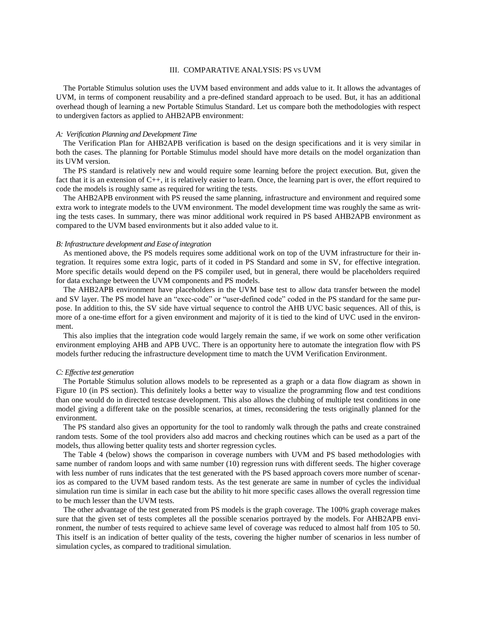# III. COMPARATIVE ANALYSIS: PS VS UVM

The Portable Stimulus solution uses the UVM based environment and adds value to it. It allows the advantages of UVM, in terms of component reusability and a pre-defined standard approach to be used. But, it has an additional overhead though of learning a new Portable Stimulus Standard. Let us compare both the methodologies with respect to undergiven factors as applied to AHB2APB environment:

#### *A: Verification Planning and Development Time*

The Verification Plan for AHB2APB verification is based on the design specifications and it is very similar in both the cases. The planning for Portable Stimulus model should have more details on the model organization than its UVM version.

The PS standard is relatively new and would require some learning before the project execution. But, given the fact that it is an extension of C++, it is relatively easier to learn. Once, the learning part is over, the effort required to code the models is roughly same as required for writing the tests.

The AHB2APB environment with PS reused the same planning, infrastructure and environment and required some extra work to integrate models to the UVM environment. The model development time was roughly the same as writing the tests cases. In summary, there was minor additional work required in PS based AHB2APB environment as compared to the UVM based environments but it also added value to it.

# *B: Infrastructure development and Ease of integration*

As mentioned above, the PS models requires some additional work on top of the UVM infrastructure for their integration. It requires some extra logic, parts of it coded in PS Standard and some in SV, for effective integration. More specific details would depend on the PS compiler used, but in general, there would be placeholders required for data exchange between the UVM components and PS models.

The AHB2APB environment have placeholders in the UVM base test to allow data transfer between the model and SV layer. The PS model have an "exec-code" or "user-defined code" coded in the PS standard for the same purpose. In addition to this, the SV side have virtual sequence to control the AHB UVC basic sequences. All of this, is more of a one-time effort for a given environment and majority of it is tied to the kind of UVC used in the environment.

This also implies that the integration code would largely remain the same, if we work on some other verification environment employing AHB and APB UVC. There is an opportunity here to automate the integration flow with PS models further reducing the infrastructure development time to match the UVM Verification Environment.

# *C: Effective test generation*

The Portable Stimulus solution allows models to be represented as a graph or a data flow diagram as shown in Figure 10 (in PS section). This definitely looks a better way to visualize the programming flow and test conditions than one would do in directed testcase development. This also allows the clubbing of multiple test conditions in one model giving a different take on the possible scenarios, at times, reconsidering the tests originally planned for the environment.

The PS standard also gives an opportunity for the tool to randomly walk through the paths and create constrained random tests. Some of the tool providers also add macros and checking routines which can be used as a part of the models, thus allowing better quality tests and shorter regression cycles.

The Table 4 (below) shows the comparison in coverage numbers with UVM and PS based methodologies with same number of random loops and with same number (10) regression runs with different seeds. The higher coverage with less number of runs indicates that the test generated with the PS based approach covers more number of scenarios as compared to the UVM based random tests. As the test generate are same in number of cycles the individual simulation run time is similar in each case but the ability to hit more specific cases allows the overall regression time to be much lesser than the UVM tests.

The other advantage of the test generated from PS models is the graph coverage. The 100% graph coverage makes sure that the given set of tests completes all the possible scenarios portrayed by the models. For AHB2APB environment, the number of tests required to achieve same level of coverage was reduced to almost half from 105 to 50. This itself is an indication of better quality of the tests, covering the higher number of scenarios in less number of simulation cycles, as compared to traditional simulation.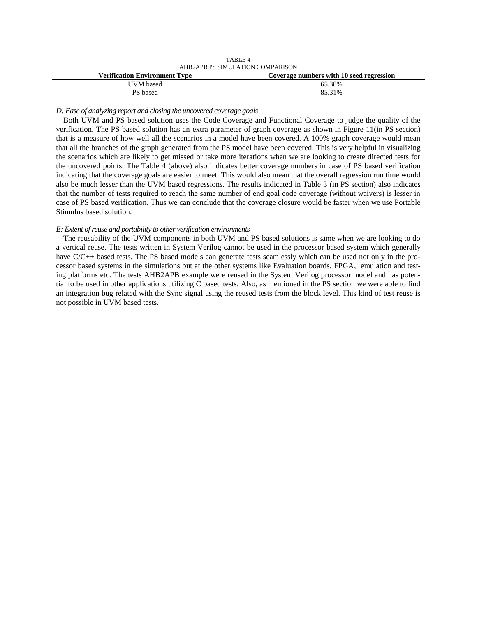| .                                    |                                          |  |  |
|--------------------------------------|------------------------------------------|--|--|
| AHB2APB PS SIMULATION COMPARISON     |                                          |  |  |
| <b>Verification Environment Type</b> | Coverage numbers with 10 seed regression |  |  |
| UVM based                            | 65.38%                                   |  |  |
| PS based                             | 85.31%                                   |  |  |

TABLE 4

*D: Ease of analyzing report and closing the uncovered coverage goals* 

Both UVM and PS based solution uses the Code Coverage and Functional Coverage to judge the quality of the verification. The PS based solution has an extra parameter of graph coverage as shown in Figure 11(in PS section) that is a measure of how well all the scenarios in a model have been covered. A 100% graph coverage would mean that all the branches of the graph generated from the PS model have been covered. This is very helpful in visualizing the scenarios which are likely to get missed or take more iterations when we are looking to create directed tests for the uncovered points. The Table 4 (above) also indicates better coverage numbers in case of PS based verification indicating that the coverage goals are easier to meet. This would also mean that the overall regression run time would also be much lesser than the UVM based regressions. The results indicated in Table 3 (in PS section) also indicates that the number of tests required to reach the same number of end goal code coverage (without waivers) is lesser in case of PS based verification. Thus we can conclude that the coverage closure would be faster when we use Portable Stimulus based solution.

# *E: Extent of reuse and portability to other verification environments*

The reusability of the UVM components in both UVM and PS based solutions is same when we are looking to do a vertical reuse. The tests written in System Verilog cannot be used in the processor based system which generally have C/C++ based tests. The PS based models can generate tests seamlessly which can be used not only in the processor based systems in the simulations but at the other systems like Evaluation boards, FPGA, emulation and testing platforms etc. The tests AHB2APB example were reused in the System Verilog processor model and has potential to be used in other applications utilizing C based tests. Also, as mentioned in the PS section we were able to find an integration bug related with the Sync signal using the reused tests from the block level. This kind of test reuse is not possible in UVM based tests.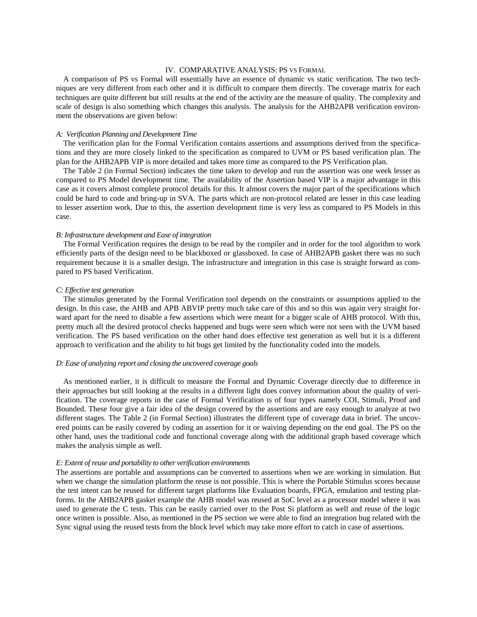# IV. COMPARATIVE ANALYSIS: PS VS FORMAL

A comparison of PS vs Formal will essentially have an essence of dynamic vs static verification. The two techniques are very different from each other and it is difficult to compare them directly. The coverage matrix for each techniques are quite different but still results at the end of the activity are the measure of quality. The complexity and scale of design is also something which changes this analysis. The analysis for the AHB2APB verification environment the observations are given below:

## *A: Verification Planning and Development Time*

The verification plan for the Formal Verification contains assertions and assumptions derived from the specifications and they are more closely linked to the specification as compared to UVM or PS based verification plan. The plan for the AHB2APB VIP is more detailed and takes more time as compared to the PS Verification plan.

The Table 2 (in Formal Section) indicates the time taken to develop and run the assertion was one week lesser as compared to PS Model development time. The availability of the Assertion based VIP is a major advantage in this case as it covers almost complete protocol details for this. It almost covers the major part of the specifications which could be hard to code and bring-up in SVA. The parts which are non-protocol related are lesser in this case leading to lesser assertion work. Due to this, the assertion development time is very less as compared to PS Models in this case.

## *B: Infrastructure development and Ease of integration*

The Formal Verification requires the design to be read by the compiler and in order for the tool algorithm to work efficiently parts of the design need to be blackboxed or glassboxed. In case of AHB2APB gasket there was no such requirement because it is a smaller design. The infrastructure and integration in this case is straight forward as compared to PS based Verification.

## *C: Effective test generation*

The stimulus generated by the Formal Verification tool depends on the constraints or assumptions applied to the design. In this case, the AHB and APB ABVIP pretty much take care of this and so this was again very straight forward apart for the need to disable a few assertions which were meant for a bigger scale of AHB protocol. With this, pretty much all the desired protocol checks happened and bugs were seen which were not seen with the UVM based verification. The PS based verification on the other hand does effective test generation as well but it is a different approach to verification and the ability to hit bugs get limited by the functionality coded into the models.

# *D: Ease of analyzing report and closing the uncovered coverage goals*

As mentioned earlier, it is difficult to measure the Formal and Dynamic Coverage directly due to difference in their approaches but still looking at the results in a different light does convey information about the quality of verification. The coverage reports in the case of Formal Verification is of four types namely COI, Stimuli, Proof and Bounded. These four give a fair idea of the design covered by the assertions and are easy enough to analyze at two different stages. The Table 2 (in Formal Section) illustrates the different type of coverage data in brief. The uncovered points can be easily covered by coding an assertion for it or waiving depending on the end goal. The PS on the other hand, uses the traditional code and functional coverage along with the additional graph based coverage which makes the analysis simple as well.

# *E: Extent of reuse and portability to other verification environments*

The assertions are portable and assumptions can be converted to assertions when we are working in simulation. But when we change the simulation platform the reuse is not possible. This is where the Portable Stimulus scores because the test intent can be reused for different target platforms like Evaluation boards, FPGA, emulation and testing platforms. In the AHB2APB gasket example the AHB model was reused at SoC level as a processor model where it was used to generate the C tests. This can be easily carried over to the Post Si platform as well and reuse of the logic once written is possible. Also, as mentioned in the PS section we were able to find an integration bug related with the Sync signal using the reused tests from the block level which may take more effort to catch in case of assertions.